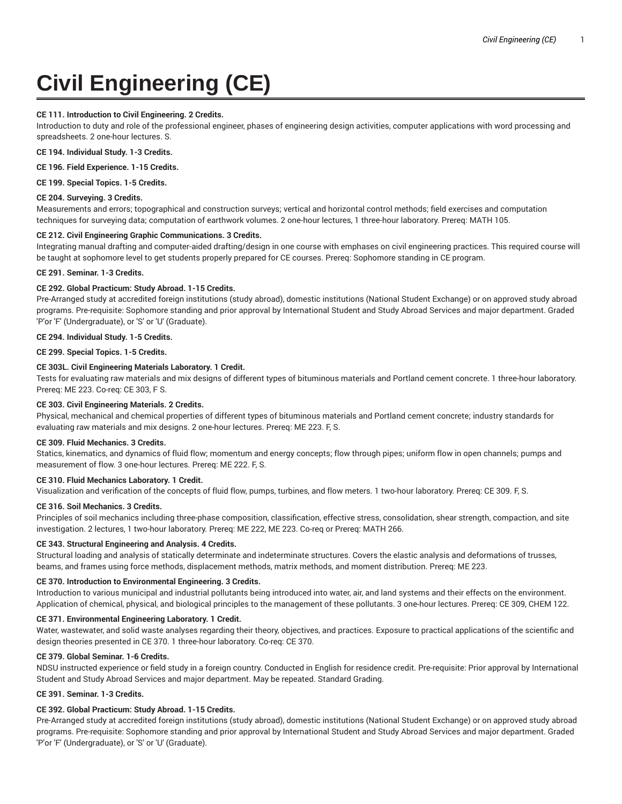# **Civil Engineering (CE)**

## **CE 111. Introduction to Civil Engineering. 2 Credits.**

Introduction to duty and role of the professional engineer, phases of engineering design activities, computer applications with word processing and spreadsheets. 2 one-hour lectures. S.

**CE 194. Individual Study. 1-3 Credits.**

**CE 196. Field Experience. 1-15 Credits.**

**CE 199. Special Topics. 1-5 Credits.**

## **CE 204. Surveying. 3 Credits.**

Measurements and errors; topographical and construction surveys; vertical and horizontal control methods; field exercises and computation techniques for surveying data; computation of earthwork volumes. 2 one-hour lectures, 1 three-hour laboratory. Prereq: MATH 105.

## **CE 212. Civil Engineering Graphic Communications. 3 Credits.**

Integrating manual drafting and computer-aided drafting/design in one course with emphases on civil engineering practices. This required course will be taught at sophomore level to get students properly prepared for CE courses. Prereq: Sophomore standing in CE program.

**CE 291. Seminar. 1-3 Credits.**

# **CE 292. Global Practicum: Study Abroad. 1-15 Credits.**

Pre-Arranged study at accredited foreign institutions (study abroad), domestic institutions (National Student Exchange) or on approved study abroad programs. Pre-requisite: Sophomore standing and prior approval by International Student and Study Abroad Services and major department. Graded 'P'or 'F' (Undergraduate), or 'S' or 'U' (Graduate).

#### **CE 294. Individual Study. 1-5 Credits.**

**CE 299. Special Topics. 1-5 Credits.**

# **CE 303L. Civil Engineering Materials Laboratory. 1 Credit.**

Tests for evaluating raw materials and mix designs of different types of bituminous materials and Portland cement concrete. 1 three-hour laboratory. Prereq: ME 223. Co-req: CE 303, F S.

#### **CE 303. Civil Engineering Materials. 2 Credits.**

Physical, mechanical and chemical properties of different types of bituminous materials and Portland cement concrete; industry standards for evaluating raw materials and mix designs. 2 one-hour lectures. Prereq: ME 223. F, S.

#### **CE 309. Fluid Mechanics. 3 Credits.**

Statics, kinematics, and dynamics of fluid flow; momentum and energy concepts; flow through pipes; uniform flow in open channels; pumps and measurement of flow. 3 one-hour lectures. Prereq: ME 222. F, S.

## **CE 310. Fluid Mechanics Laboratory. 1 Credit.**

Visualization and verification of the concepts of fluid flow, pumps, turbines, and flow meters. 1 two-hour laboratory. Prereq: CE 309. F, S.

## **CE 316. Soil Mechanics. 3 Credits.**

Principles of soil mechanics including three-phase composition, classification, effective stress, consolidation, shear strength, compaction, and site investigation. 2 lectures, 1 two-hour laboratory. Prereq: ME 222, ME 223. Co-req or Prereq: MATH 266.

## **CE 343. Structural Engineering and Analysis. 4 Credits.**

Structural loading and analysis of statically determinate and indeterminate structures. Covers the elastic analysis and deformations of trusses, beams, and frames using force methods, displacement methods, matrix methods, and moment distribution. Prereq: ME 223.

#### **CE 370. Introduction to Environmental Engineering. 3 Credits.**

Introduction to various municipal and industrial pollutants being introduced into water, air, and land systems and their effects on the environment. Application of chemical, physical, and biological principles to the management of these pollutants. 3 one-hour lectures. Prereq: CE 309, CHEM 122.

#### **CE 371. Environmental Engineering Laboratory. 1 Credit.**

Water, wastewater, and solid waste analyses regarding their theory, objectives, and practices. Exposure to practical applications of the scientific and design theories presented in CE 370. 1 three-hour laboratory. Co-req: CE 370.

## **CE 379. Global Seminar. 1-6 Credits.**

NDSU instructed experience or field study in a foreign country. Conducted in English for residence credit. Pre-requisite: Prior approval by International Student and Study Abroad Services and major department. May be repeated. Standard Grading.

## **CE 391. Seminar. 1-3 Credits.**

## **CE 392. Global Practicum: Study Abroad. 1-15 Credits.**

Pre-Arranged study at accredited foreign institutions (study abroad), domestic institutions (National Student Exchange) or on approved study abroad programs. Pre-requisite: Sophomore standing and prior approval by International Student and Study Abroad Services and major department. Graded 'P'or 'F' (Undergraduate), or 'S' or 'U' (Graduate).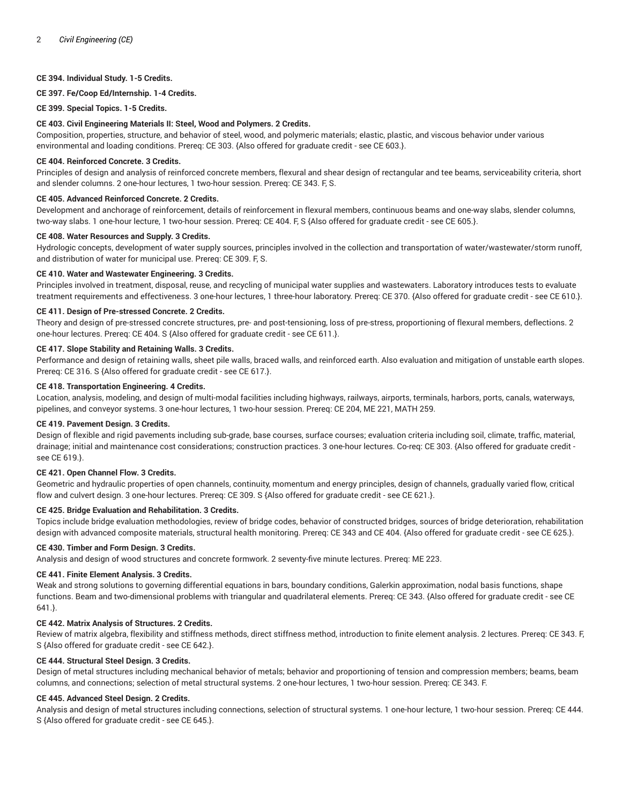## **CE 394. Individual Study. 1-5 Credits.**

**CE 397. Fe/Coop Ed/Internship. 1-4 Credits.**

**CE 399. Special Topics. 1-5 Credits.**

#### **CE 403. Civil Engineering Materials II: Steel, Wood and Polymers. 2 Credits.**

Composition, properties, structure, and behavior of steel, wood, and polymeric materials; elastic, plastic, and viscous behavior under various environmental and loading conditions. Prereq: CE 303. {Also offered for graduate credit - see CE 603.}.

## **CE 404. Reinforced Concrete. 3 Credits.**

Principles of design and analysis of reinforced concrete members, flexural and shear design of rectangular and tee beams, serviceability criteria, short and slender columns. 2 one-hour lectures, 1 two-hour session. Prereq: CE 343. F, S.

#### **CE 405. Advanced Reinforced Concrete. 2 Credits.**

Development and anchorage of reinforcement, details of reinforcement in flexural members, continuous beams and one-way slabs, slender columns, two-way slabs. 1 one-hour lecture, 1 two-hour session. Prereq: CE 404. F, S {Also offered for graduate credit - see CE 605.}.

#### **CE 408. Water Resources and Supply. 3 Credits.**

Hydrologic concepts, development of water supply sources, principles involved in the collection and transportation of water/wastewater/storm runoff, and distribution of water for municipal use. Prereq: CE 309. F, S.

#### **CE 410. Water and Wastewater Engineering. 3 Credits.**

Principles involved in treatment, disposal, reuse, and recycling of municipal water supplies and wastewaters. Laboratory introduces tests to evaluate treatment requirements and effectiveness. 3 one-hour lectures, 1 three-hour laboratory. Prereq: CE 370. {Also offered for graduate credit - see CE 610.}.

## **CE 411. Design of Pre-stressed Concrete. 2 Credits.**

Theory and design of pre-stressed concrete structures, pre- and post-tensioning, loss of pre-stress, proportioning of flexural members, deflections. 2 one-hour lectures. Prereq: CE 404. S {Also offered for graduate credit - see CE 611.}.

#### **CE 417. Slope Stability and Retaining Walls. 3 Credits.**

Performance and design of retaining walls, sheet pile walls, braced walls, and reinforced earth. Also evaluation and mitigation of unstable earth slopes. Prereq: CE 316. S {Also offered for graduate credit - see CE 617.}.

#### **CE 418. Transportation Engineering. 4 Credits.**

Location, analysis, modeling, and design of multi-modal facilities including highways, railways, airports, terminals, harbors, ports, canals, waterways, pipelines, and conveyor systems. 3 one-hour lectures, 1 two-hour session. Prereq: CE 204, ME 221, MATH 259.

#### **CE 419. Pavement Design. 3 Credits.**

Design of flexible and rigid pavements including sub-grade, base courses, surface courses; evaluation criteria including soil, climate, traffic, material, drainage; initial and maintenance cost considerations; construction practices. 3 one-hour lectures. Co-req: CE 303. {Also offered for graduate credit see CE 619.}.

# **CE 421. Open Channel Flow. 3 Credits.**

Geometric and hydraulic properties of open channels, continuity, momentum and energy principles, design of channels, gradually varied flow, critical flow and culvert design. 3 one-hour lectures. Prereq: CE 309. S {Also offered for graduate credit - see CE 621.}.

#### **CE 425. Bridge Evaluation and Rehabilitation. 3 Credits.**

Topics include bridge evaluation methodologies, review of bridge codes, behavior of constructed bridges, sources of bridge deterioration, rehabilitation design with advanced composite materials, structural health monitoring. Prereq: CE 343 and CE 404. {Also offered for graduate credit - see CE 625.}.

#### **CE 430. Timber and Form Design. 3 Credits.**

Analysis and design of wood structures and concrete formwork. 2 seventy-five minute lectures. Prereq: ME 223.

#### **CE 441. Finite Element Analysis. 3 Credits.**

Weak and strong solutions to governing differential equations in bars, boundary conditions, Galerkin approximation, nodal basis functions, shape functions. Beam and two-dimensional problems with triangular and quadrilateral elements. Prereq: CE 343. {Also offered for graduate credit - see CE 641.}.

## **CE 442. Matrix Analysis of Structures. 2 Credits.**

Review of matrix algebra, flexibility and stiffness methods, direct stiffness method, introduction to finite element analysis. 2 lectures. Prereq: CE 343. F, S {Also offered for graduate credit - see CE 642.}.

#### **CE 444. Structural Steel Design. 3 Credits.**

Design of metal structures including mechanical behavior of metals; behavior and proportioning of tension and compression members; beams, beam columns, and connections; selection of metal structural systems. 2 one-hour lectures, 1 two-hour session. Prereq: CE 343. F.

#### **CE 445. Advanced Steel Design. 2 Credits.**

Analysis and design of metal structures including connections, selection of structural systems. 1 one-hour lecture, 1 two-hour session. Prereq: CE 444. S {Also offered for graduate credit - see CE 645.}.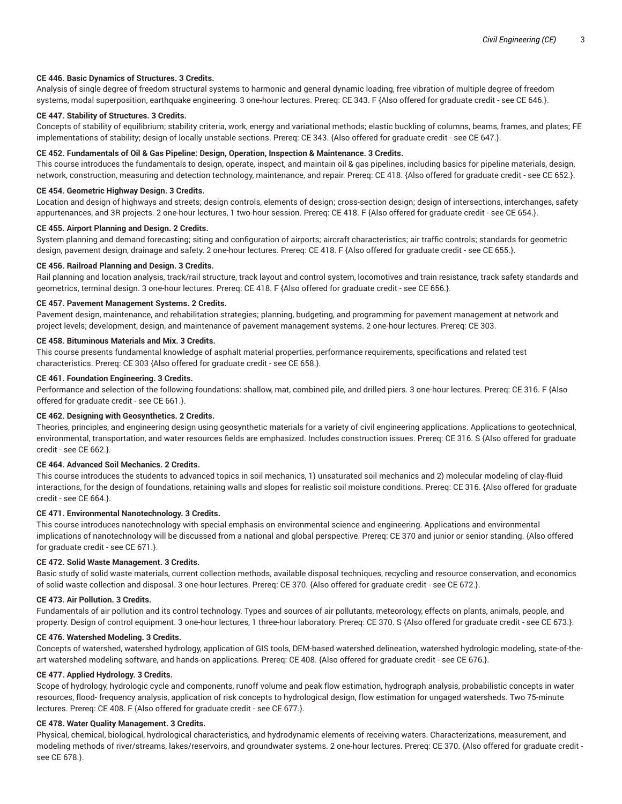## **CE 446. Basic Dynamics of Structures. 3 Credits.**

Analysis of single degree of freedom structural systems to harmonic and general dynamic loading, free vibration of multiple degree of freedom systems, modal superposition, earthquake engineering. 3 one-hour lectures. Prereq: CE 343. F {Also offered for graduate credit - see CE 646.}.

# **CE 447. Stability of Structures. 3 Credits.**

Concepts of stability of equilibrium; stability criteria, work, energy and variational methods; elastic buckling of columns, beams, frames, and plates; FE implementations of stability; design of locally unstable sections. Prereq: CE 343. {Also offered for graduate credit - see CE 647.}.

#### **CE 452. Fundamentals of Oil & Gas Pipeline: Design, Operation, Inspection & Maintenance. 3 Credits.**

This course introduces the fundamentals to design, operate, inspect, and maintain oil & gas pipelines, including basics for pipeline materials, design, network, construction, measuring and detection technology, maintenance, and repair. Prereq: CE 418. {Also offered for graduate credit - see CE 652.}.

#### **CE 454. Geometric Highway Design. 3 Credits.**

Location and design of highways and streets; design controls, elements of design; cross-section design; design of intersections, interchanges, safety appurtenances, and 3R projects. 2 one-hour lectures, 1 two-hour session. Prereq: CE 418. F {Also offered for graduate credit - see CE 654.}.

## **CE 455. Airport Planning and Design. 2 Credits.**

System planning and demand forecasting; siting and configuration of airports; aircraft characteristics; air traffic controls; standards for geometric design, pavement design, drainage and safety. 2 one-hour lectures. Prereq: CE 418. F {Also offered for graduate credit - see CE 655.}.

#### **CE 456. Railroad Planning and Design. 3 Credits.**

Rail planning and location analysis, track/rail structure, track layout and control system, locomotives and train resistance, track safety standards and geometrics, terminal design. 3 one-hour lectures. Prereq: CE 418. F {Also offered for graduate credit - see CE 656.}.

#### **CE 457. Pavement Management Systems. 2 Credits.**

Pavement design, maintenance, and rehabilitation strategies; planning, budgeting, and programming for pavement management at network and project levels; development, design, and maintenance of pavement management systems. 2 one-hour lectures. Prereq: CE 303.

## **CE 458. Bituminous Materials and Mix. 3 Credits.**

This course presents fundamental knowledge of asphalt material properties, performance requirements, specifications and related test characteristics. Prereq: CE 303 {Also offered for graduate credit - see CE 658.}.

## **CE 461. Foundation Engineering. 3 Credits.**

Performance and selection of the following foundations: shallow, mat, combined pile, and drilled piers. 3 one-hour lectures. Prereq: CE 316. F {Also offered for graduate credit - see CE 661.}.

## **CE 462. Designing with Geosynthetics. 2 Credits.**

Theories, principles, and engineering design using geosynthetic materials for a variety of civil engineering applications. Applications to geotechnical, environmental, transportation, and water resources fields are emphasized. Includes construction issues. Prereq: CE 316. S {Also offered for graduate credit - see CE 662.}.

# **CE 464. Advanced Soil Mechanics. 2 Credits.**

This course introduces the students to advanced topics in soil mechanics, 1) unsaturated soil mechanics and 2) molecular modeling of clay-fluid interactions, for the design of foundations, retaining walls and slopes for realistic soil moisture conditions. Prereq: CE 316. {Also offered for graduate credit - see CE 664.}.

#### **CE 471. Environmental Nanotechnology. 3 Credits.**

This course introduces nanotechnology with special emphasis on environmental science and engineering. Applications and environmental implications of nanotechnology will be discussed from a national and global perspective. Prereq: CE 370 and junior or senior standing. {Also offered for graduate credit - see CE 671.}.

#### **CE 472. Solid Waste Management. 3 Credits.**

Basic study of solid waste materials, current collection methods, available disposal techniques, recycling and resource conservation, and economics of solid waste collection and disposal. 3 one-hour lectures. Prereq: CE 370. {Also offered for graduate credit - see CE 672.}.

#### **CE 473. Air Pollution. 3 Credits.**

Fundamentals of air pollution and its control technology. Types and sources of air pollutants, meteorology, effects on plants, animals, people, and property. Design of control equipment. 3 one-hour lectures, 1 three-hour laboratory. Prereq: CE 370. S {Also offered for graduate credit - see CE 673.}.

## **CE 476. Watershed Modeling. 3 Credits.**

Concepts of watershed, watershed hydrology, application of GIS tools, DEM-based watershed delineation, watershed hydrologic modeling, state-of-theart watershed modeling software, and hands-on applications. Prereq: CE 408. {Also offered for graduate credit - see CE 676.}.

## **CE 477. Applied Hydrology. 3 Credits.**

Scope of hydrology, hydrologic cycle and components, runoff volume and peak flow estimation, hydrograph analysis, probabilistic concepts in water resources, flood- frequency analysis, application of risk concepts to hydrological design, flow estimation for ungaged watersheds. Two 75-minute lectures. Prereq: CE 408. F {Also offered for graduate credit - see CE 677.}.

## **CE 478. Water Quality Management. 3 Credits.**

Physical, chemical, biological, hydrological characteristics, and hydrodynamic elements of receiving waters. Characterizations, measurement, and modeling methods of river/streams, lakes/reservoirs, and groundwater systems. 2 one-hour lectures. Prereq: CE 370. {Also offered for graduate credit see CE 678.}.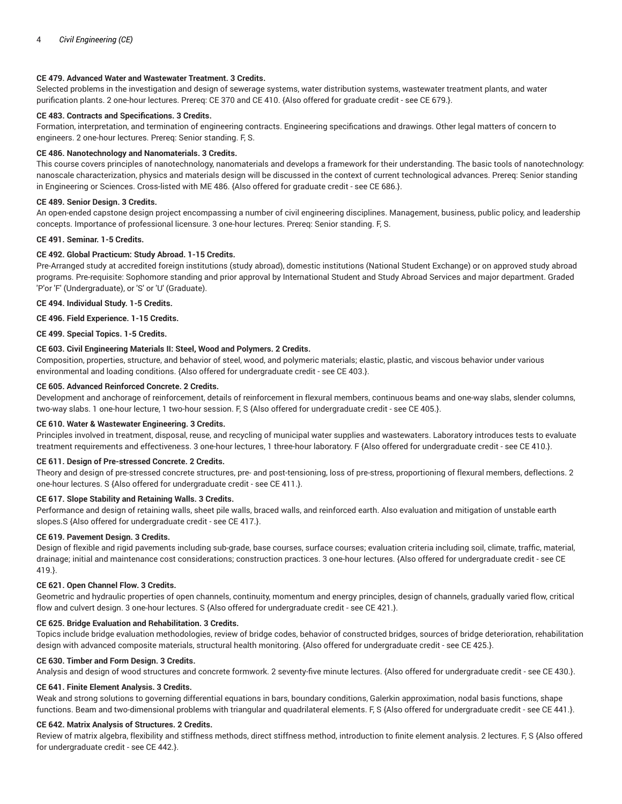# **CE 479. Advanced Water and Wastewater Treatment. 3 Credits.**

Selected problems in the investigation and design of sewerage systems, water distribution systems, wastewater treatment plants, and water purification plants. 2 one-hour lectures. Prereq: CE 370 and CE 410. {Also offered for graduate credit - see CE 679.}.

# **CE 483. Contracts and Specifications. 3 Credits.**

Formation, interpretation, and termination of engineering contracts. Engineering specifications and drawings. Other legal matters of concern to engineers. 2 one-hour lectures. Prereq: Senior standing. F, S.

#### **CE 486. Nanotechnology and Nanomaterials. 3 Credits.**

This course covers principles of nanotechnology, nanomaterials and develops a framework for their understanding. The basic tools of nanotechnology: nanoscale characterization, physics and materials design will be discussed in the context of current technological advances. Prereq: Senior standing in Engineering or Sciences. Cross-listed with ME 486. {Also offered for graduate credit - see CE 686.}.

#### **CE 489. Senior Design. 3 Credits.**

An open-ended capstone design project encompassing a number of civil engineering disciplines. Management, business, public policy, and leadership concepts. Importance of professional licensure. 3 one-hour lectures. Prereq: Senior standing. F, S.

#### **CE 491. Seminar. 1-5 Credits.**

## **CE 492. Global Practicum: Study Abroad. 1-15 Credits.**

Pre-Arranged study at accredited foreign institutions (study abroad), domestic institutions (National Student Exchange) or on approved study abroad programs. Pre-requisite: Sophomore standing and prior approval by International Student and Study Abroad Services and major department. Graded 'P'or 'F' (Undergraduate), or 'S' or 'U' (Graduate).

**CE 494. Individual Study. 1-5 Credits.**

**CE 496. Field Experience. 1-15 Credits.**

**CE 499. Special Topics. 1-5 Credits.**

## **CE 603. Civil Engineering Materials II: Steel, Wood and Polymers. 2 Credits.**

Composition, properties, structure, and behavior of steel, wood, and polymeric materials; elastic, plastic, and viscous behavior under various environmental and loading conditions. {Also offered for undergraduate credit - see CE 403.}.

#### **CE 605. Advanced Reinforced Concrete. 2 Credits.**

Development and anchorage of reinforcement, details of reinforcement in flexural members, continuous beams and one-way slabs, slender columns, two-way slabs. 1 one-hour lecture, 1 two-hour session. F, S {Also offered for undergraduate credit - see CE 405.}.

#### **CE 610. Water & Wastewater Engineering. 3 Credits.**

Principles involved in treatment, disposal, reuse, and recycling of municipal water supplies and wastewaters. Laboratory introduces tests to evaluate treatment requirements and effectiveness. 3 one-hour lectures, 1 three-hour laboratory. F {Also offered for undergraduate credit - see CE 410.}.

#### **CE 611. Design of Pre-stressed Concrete. 2 Credits.**

Theory and design of pre-stressed concrete structures, pre- and post-tensioning, loss of pre-stress, proportioning of flexural members, deflections. 2 one-hour lectures. S {Also offered for undergraduate credit - see CE 411.}.

#### **CE 617. Slope Stability and Retaining Walls. 3 Credits.**

Performance and design of retaining walls, sheet pile walls, braced walls, and reinforced earth. Also evaluation and mitigation of unstable earth slopes.S {Also offered for undergraduate credit - see CE 417.}.

#### **CE 619. Pavement Design. 3 Credits.**

Design of flexible and rigid pavements including sub-grade, base courses, surface courses; evaluation criteria including soil, climate, traffic, material, drainage; initial and maintenance cost considerations; construction practices. 3 one-hour lectures. {Also offered for undergraduate credit - see CE 419.}.

#### **CE 621. Open Channel Flow. 3 Credits.**

Geometric and hydraulic properties of open channels, continuity, momentum and energy principles, design of channels, gradually varied flow, critical flow and culvert design. 3 one-hour lectures. S {Also offered for undergraduate credit - see CE 421.}.

#### **CE 625. Bridge Evaluation and Rehabilitation. 3 Credits.**

Topics include bridge evaluation methodologies, review of bridge codes, behavior of constructed bridges, sources of bridge deterioration, rehabilitation design with advanced composite materials, structural health monitoring. {Also offered for undergraduate credit - see CE 425.}.

#### **CE 630. Timber and Form Design. 3 Credits.**

Analysis and design of wood structures and concrete formwork. 2 seventy-five minute lectures. {Also offered for undergraduate credit - see CE 430.}.

## **CE 641. Finite Element Analysis. 3 Credits.**

Weak and strong solutions to governing differential equations in bars, boundary conditions, Galerkin approximation, nodal basis functions, shape functions. Beam and two-dimensional problems with triangular and quadrilateral elements. F, S {Also offered for undergraduate credit - see CE 441.}.

## **CE 642. Matrix Analysis of Structures. 2 Credits.**

Review of matrix algebra, flexibility and stiffness methods, direct stiffness method, introduction to finite element analysis. 2 lectures. F, S {Also offered for undergraduate credit - see CE 442.}.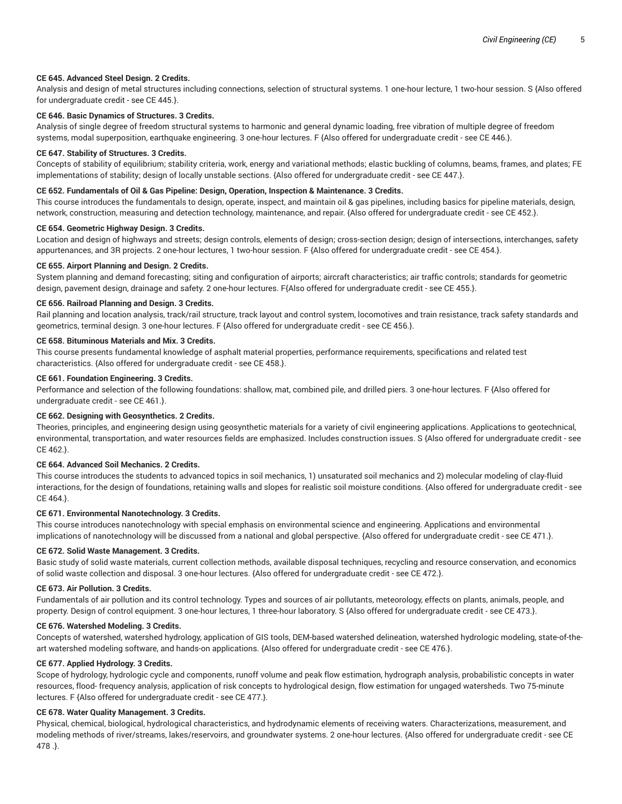# **CE 645. Advanced Steel Design. 2 Credits.**

Analysis and design of metal structures including connections, selection of structural systems. 1 one-hour lecture, 1 two-hour session. S {Also offered for undergraduate credit - see CE 445.}.

# **CE 646. Basic Dynamics of Structures. 3 Credits.**

Analysis of single degree of freedom structural systems to harmonic and general dynamic loading, free vibration of multiple degree of freedom systems, modal superposition, earthquake engineering. 3 one-hour lectures. F {Also offered for undergraduate credit - see CE 446.}.

#### **CE 647. Stability of Structures. 3 Credits.**

Concepts of stability of equilibrium; stability criteria, work, energy and variational methods; elastic buckling of columns, beams, frames, and plates; FE implementations of stability; design of locally unstable sections. {Also offered for undergraduate credit - see CE 447.}.

# **CE 652. Fundamentals of Oil & Gas Pipeline: Design, Operation, Inspection & Maintenance. 3 Credits.**

This course introduces the fundamentals to design, operate, inspect, and maintain oil & gas pipelines, including basics for pipeline materials, design, network, construction, measuring and detection technology, maintenance, and repair. {Also offered for undergraduate credit - see CE 452.}.

## **CE 654. Geometric Highway Design. 3 Credits.**

Location and design of highways and streets; design controls, elements of design; cross-section design; design of intersections, interchanges, safety appurtenances, and 3R projects. 2 one-hour lectures, 1 two-hour session. F {Also offered for undergraduate credit - see CE 454.}.

#### **CE 655. Airport Planning and Design. 2 Credits.**

System planning and demand forecasting; siting and configuration of airports; aircraft characteristics; air traffic controls; standards for geometric design, pavement design, drainage and safety. 2 one-hour lectures. F{Also offered for undergraduate credit - see CE 455.}.

#### **CE 656. Railroad Planning and Design. 3 Credits.**

Rail planning and location analysis, track/rail structure, track layout and control system, locomotives and train resistance, track safety standards and geometrics, terminal design. 3 one-hour lectures. F {Also offered for undergraduate credit - see CE 456.}.

## **CE 658. Bituminous Materials and Mix. 3 Credits.**

This course presents fundamental knowledge of asphalt material properties, performance requirements, specifications and related test characteristics. {Also offered for undergraduate credit - see CE 458.}.

## **CE 661. Foundation Engineering. 3 Credits.**

Performance and selection of the following foundations: shallow, mat, combined pile, and drilled piers. 3 one-hour lectures. F {Also offered for undergraduate credit - see CE 461.}.

## **CE 662. Designing with Geosynthetics. 2 Credits.**

Theories, principles, and engineering design using geosynthetic materials for a variety of civil engineering applications. Applications to geotechnical, environmental, transportation, and water resources fields are emphasized. Includes construction issues. S {Also offered for undergraduate credit - see CE 462.}.

# **CE 664. Advanced Soil Mechanics. 2 Credits.**

This course introduces the students to advanced topics in soil mechanics, 1) unsaturated soil mechanics and 2) molecular modeling of clay-fluid interactions, for the design of foundations, retaining walls and slopes for realistic soil moisture conditions. {Also offered for undergraduate credit - see CE 464.}.

## **CE 671. Environmental Nanotechnology. 3 Credits.**

This course introduces nanotechnology with special emphasis on environmental science and engineering. Applications and environmental implications of nanotechnology will be discussed from a national and global perspective. {Also offered for undergraduate credit - see CE 471.}.

## **CE 672. Solid Waste Management. 3 Credits.**

Basic study of solid waste materials, current collection methods, available disposal techniques, recycling and resource conservation, and economics of solid waste collection and disposal. 3 one-hour lectures. {Also offered for undergraduate credit - see CE 472.}.

## **CE 673. Air Pollution. 3 Credits.**

Fundamentals of air pollution and its control technology. Types and sources of air pollutants, meteorology, effects on plants, animals, people, and property. Design of control equipment. 3 one-hour lectures, 1 three-hour laboratory. S {Also offered for undergraduate credit - see CE 473.}.

#### **CE 676. Watershed Modeling. 3 Credits.**

Concepts of watershed, watershed hydrology, application of GIS tools, DEM-based watershed delineation, watershed hydrologic modeling, state-of-theart watershed modeling software, and hands-on applications. {Also offered for undergraduate credit - see CE 476.}.

## **CE 677. Applied Hydrology. 3 Credits.**

Scope of hydrology, hydrologic cycle and components, runoff volume and peak flow estimation, hydrograph analysis, probabilistic concepts in water resources, flood- frequency analysis, application of risk concepts to hydrological design, flow estimation for ungaged watersheds. Two 75-minute lectures. F {Also offered for undergraduate credit - see CE 477.}.

## **CE 678. Water Quality Management. 3 Credits.**

Physical, chemical, biological, hydrological characteristics, and hydrodynamic elements of receiving waters. Characterizations, measurement, and modeling methods of river/streams, lakes/reservoirs, and groundwater systems. 2 one-hour lectures. {Also offered for undergraduate credit - see CE 478 .}.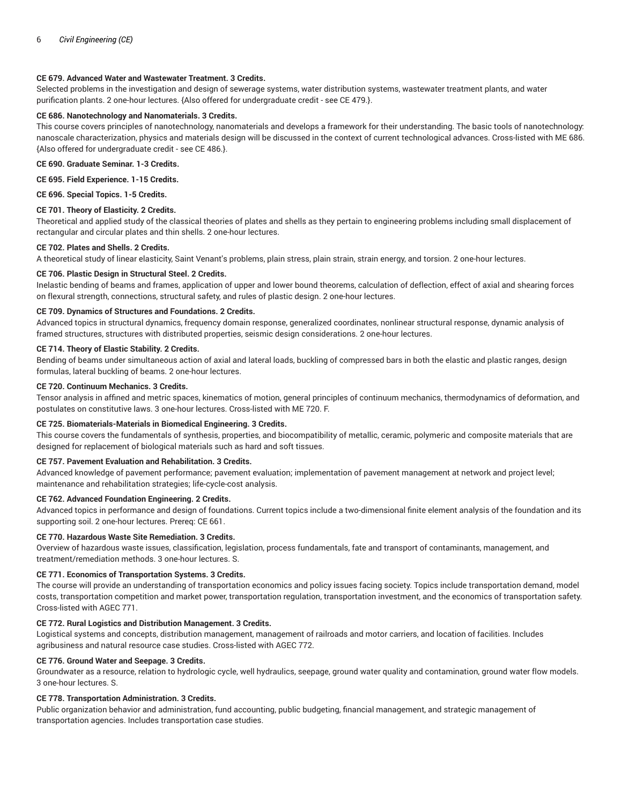# **CE 679. Advanced Water and Wastewater Treatment. 3 Credits.**

Selected problems in the investigation and design of sewerage systems, water distribution systems, wastewater treatment plants, and water purification plants. 2 one-hour lectures. {Also offered for undergraduate credit - see CE 479.}.

# **CE 686. Nanotechnology and Nanomaterials. 3 Credits.**

This course covers principles of nanotechnology, nanomaterials and develops a framework for their understanding. The basic tools of nanotechnology: nanoscale characterization, physics and materials design will be discussed in the context of current technological advances. Cross-listed with ME 686. {Also offered for undergraduate credit - see CE 486.}.

**CE 690. Graduate Seminar. 1-3 Credits.**

**CE 695. Field Experience. 1-15 Credits.**

**CE 696. Special Topics. 1-5 Credits.**

#### **CE 701. Theory of Elasticity. 2 Credits.**

Theoretical and applied study of the classical theories of plates and shells as they pertain to engineering problems including small displacement of rectangular and circular plates and thin shells. 2 one-hour lectures.

#### **CE 702. Plates and Shells. 2 Credits.**

A theoretical study of linear elasticity, Saint Venant's problems, plain stress, plain strain, strain energy, and torsion. 2 one-hour lectures.

## **CE 706. Plastic Design in Structural Steel. 2 Credits.**

Inelastic bending of beams and frames, application of upper and lower bound theorems, calculation of deflection, effect of axial and shearing forces on flexural strength, connections, structural safety, and rules of plastic design. 2 one-hour lectures.

# **CE 709. Dynamics of Structures and Foundations. 2 Credits.**

Advanced topics in structural dynamics, frequency domain response, generalized coordinates, nonlinear structural response, dynamic analysis of framed structures, structures with distributed properties, seismic design considerations. 2 one-hour lectures.

## **CE 714. Theory of Elastic Stability. 2 Credits.**

Bending of beams under simultaneous action of axial and lateral loads, buckling of compressed bars in both the elastic and plastic ranges, design formulas, lateral buckling of beams. 2 one-hour lectures.

#### **CE 720. Continuum Mechanics. 3 Credits.**

Tensor analysis in affined and metric spaces, kinematics of motion, general principles of continuum mechanics, thermodynamics of deformation, and postulates on constitutive laws. 3 one-hour lectures. Cross-listed with ME 720. F.

# **CE 725. Biomaterials-Materials in Biomedical Engineering. 3 Credits.**

This course covers the fundamentals of synthesis, properties, and biocompatibility of metallic, ceramic, polymeric and composite materials that are designed for replacement of biological materials such as hard and soft tissues.

## **CE 757. Pavement Evaluation and Rehabilitation. 3 Credits.**

Advanced knowledge of pavement performance; pavement evaluation; implementation of pavement management at network and project level; maintenance and rehabilitation strategies; life-cycle-cost analysis.

#### **CE 762. Advanced Foundation Engineering. 2 Credits.**

Advanced topics in performance and design of foundations. Current topics include a two-dimensional finite element analysis of the foundation and its supporting soil. 2 one-hour lectures. Prereq: CE 661.

#### **CE 770. Hazardous Waste Site Remediation. 3 Credits.**

Overview of hazardous waste issues, classification, legislation, process fundamentals, fate and transport of contaminants, management, and treatment/remediation methods. 3 one-hour lectures. S.

## **CE 771. Economics of Transportation Systems. 3 Credits.**

The course will provide an understanding of transportation economics and policy issues facing society. Topics include transportation demand, model costs, transportation competition and market power, transportation regulation, transportation investment, and the economics of transportation safety. Cross-listed with AGEC 771.

# **CE 772. Rural Logistics and Distribution Management. 3 Credits.**

Logistical systems and concepts, distribution management, management of railroads and motor carriers, and location of facilities. Includes agribusiness and natural resource case studies. Cross-listed with AGEC 772.

## **CE 776. Ground Water and Seepage. 3 Credits.**

Groundwater as a resource, relation to hydrologic cycle, well hydraulics, seepage, ground water quality and contamination, ground water flow models. 3 one-hour lectures. S.

## **CE 778. Transportation Administration. 3 Credits.**

Public organization behavior and administration, fund accounting, public budgeting, financial management, and strategic management of transportation agencies. Includes transportation case studies.